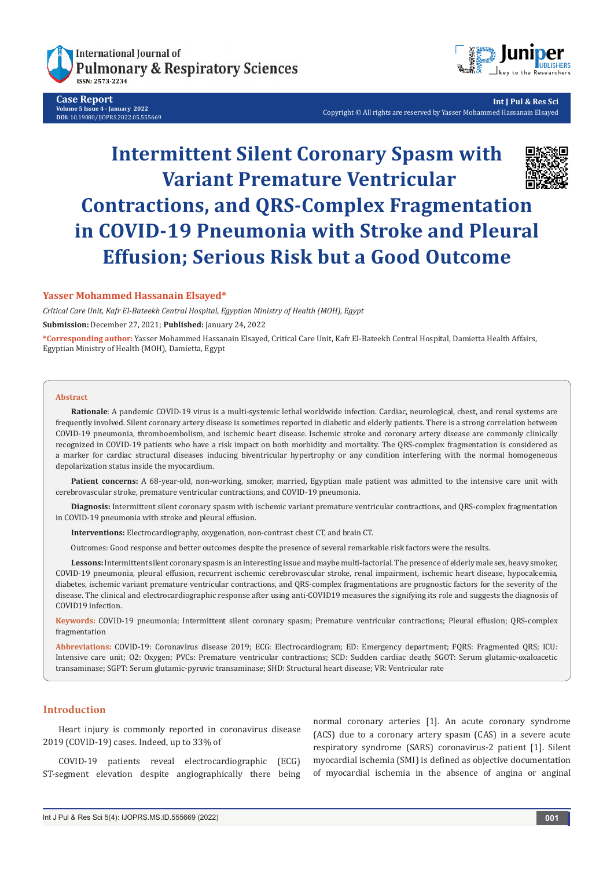

**Case Report Volume 5 Issue 4 - January 2022 DOI:** [10.19080/IJOPRS.2022.05.5556](http://dx.doi.org/10.19080/IJOPRS.2022.05.555669)69



**Int J Pul & Res Sci** Copyright © All rights are reserved by Yasser Mohammed Hassanain Elsayed

# **Intermittent Silent Coronary Spasm with Variant Premature Ventricular Contractions, and QRS-Complex Fragmentation in COVID-19 Pneumonia with Stroke and Pleural Effusion; Serious Risk but a Good Outcome**

## **Yasser Mohammed Hassanain Elsayed\***

*Critical Care Unit, Kafr El-Bateekh Central Hospital, Egyptian Ministry of Health (MOH), Egypt* **Submission:** December 27, 2021; **Published:** January 24, 2022

**\*Corresponding author:** Yasser Mohammed Hassanain Elsayed, Critical Care Unit, Kafr El-Bateekh Central Hospital, Damietta Health Affairs, Egyptian Ministry of Health (MOH), Damietta, Egypt

#### **Abstract**

**Rationale**: A pandemic COVID-19 virus is a multi-systemic lethal worldwide infection. Cardiac, neurological, chest, and renal systems are frequently involved. Silent coronary artery disease is sometimes reported in diabetic and elderly patients. There is a strong correlation between COVID-19 pneumonia, thromboembolism, and ischemic heart disease. Ischemic stroke and coronary artery disease are commonly clinically recognized in COVID-19 patients who have a risk impact on both morbidity and mortality. The QRS-complex fragmentation is considered as a marker for cardiac structural diseases inducing biventricular hypertrophy or any condition interfering with the normal homogeneous depolarization status inside the myocardium.

**Patient concerns:** A 68-year-old, non-working, smoker, married, Egyptian male patient was admitted to the intensive care unit with cerebrovascular stroke, premature ventricular contractions, and COVID-19 pneumonia.

**Diagnosis:** Intermittent silent coronary spasm with ischemic variant premature ventricular contractions, and QRS-complex fragmentation in COVID-19 pneumonia with stroke and pleural effusion.

**Interventions:** Electrocardiography, oxygenation, non-contrast chest CT, and brain CT.

Outcomes: Good response and better outcomes despite the presence of several remarkable risk factors were the results.

**Lessons:** Intermittent silent coronary spasm is an interesting issue and maybe multi-factorial. The presence of elderly male sex, heavy smoker, COVID-19 pneumonia, pleural effusion, recurrent ischemic cerebrovascular stroke, renal impairment, ischemic heart disease, hypocalcemia, diabetes, ischemic variant premature ventricular contractions, and QRS-complex fragmentations are prognostic factors for the severity of the disease. The clinical and electrocardiographic response after using anti-COVID19 measures the signifying its role and suggests the diagnosis of COVID19 infection.

**Keywords:** COVID-19 pneumonia; Intermittent silent coronary spasm; Premature ventricular contractions; Pleural effusion; QRS-complex fragmentation

**Abbreviations:** COVID-19: Coronavirus disease 2019; ECG: Electrocardiogram; ED: Emergency department; FQRS: Fragmented QRS; ICU: Intensive care unit; O2: Oxygen; PVCs: Premature ventricular contractions; SCD: Sudden cardiac death; SGOT: Serum glutamic-oxaloacetic transaminase; SGPT: Serum glutamic-pyruvic transaminase; SHD: Structural heart disease; VR: Ventricular rate

# **Introduction**

Heart injury is commonly reported in coronavirus disease 2019 (COVID-19) cases. Indeed, up to 33% of

COVID-19 patients reveal electrocardiographic (ECG) ST-segment elevation despite angiographically there being normal coronary arteries [1]. An acute coronary syndrome (ACS) due to a coronary artery spasm (CAS) in a severe acute respiratory syndrome (SARS) coronavirus-2 patient [1]. Silent myocardial ischemia (SMI) is defined as objective documentation of myocardial ischemia in the absence of angina or anginal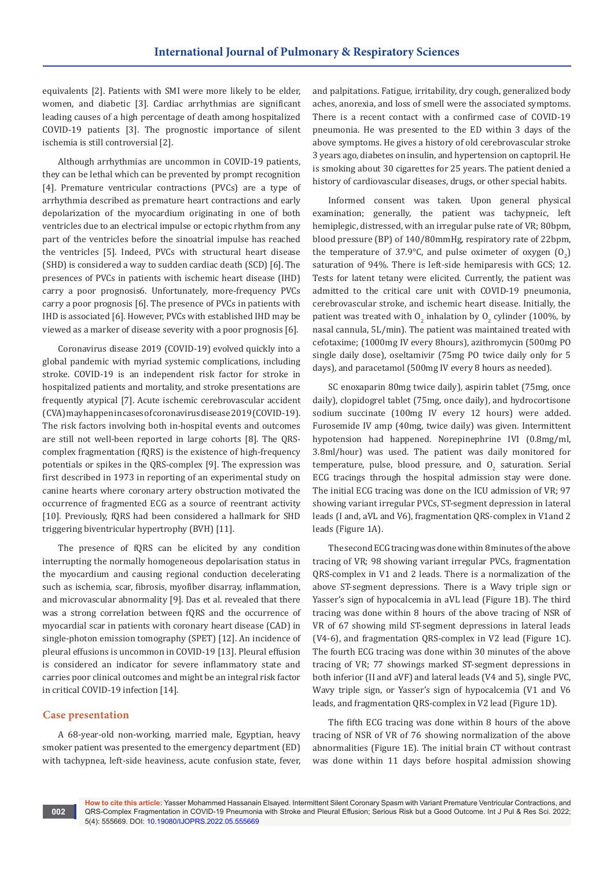equivalents [2]. Patients with SMI were more likely to be elder, women, and diabetic [3]. Cardiac arrhythmias are significant leading causes of a high percentage of death among hospitalized COVID-19 patients [3]. The prognostic importance of silent ischemia is still controversial [2].

Although arrhythmias are uncommon in COVID-19 patients, they can be lethal which can be prevented by prompt recognition [4]. Premature ventricular contractions (PVCs) are a type of arrhythmia described as premature heart contractions and early depolarization of the myocardium originating in one of both ventricles due to an electrical impulse or ectopic rhythm from any part of the ventricles before the sinoatrial impulse has reached the ventricles [5]. Indeed, PVCs with structural heart disease (SHD) is considered a way to sudden cardiac death (SCD) [6]. The presences of PVCs in patients with ischemic heart disease (IHD) carry a poor prognosis6. Unfortunately, more-frequency PVCs carry a poor prognosis [6]. The presence of PVCs in patients with IHD is associated [6]. However, PVCs with established IHD may be viewed as a marker of disease severity with a poor prognosis [6].

Coronavirus disease 2019 (COVID-19) evolved quickly into a global pandemic with myriad systemic complications, including stroke. COVID-19 is an independent risk factor for stroke in hospitalized patients and mortality, and stroke presentations are frequently atypical [7]. Acute ischemic cerebrovascular accident (CVA) may happen in cases of coronavirus disease 2019 (COVID-19). The risk factors involving both in-hospital events and outcomes are still not well-been reported in large cohorts [8]. The QRScomplex fragmentation (fQRS) is the existence of high-frequency potentials or spikes in the QRS-complex [9]. The expression was first described in 1973 in reporting of an experimental study on canine hearts where coronary artery obstruction motivated the occurrence of fragmented ECG as a source of reentrant activity [10]. Previously, fQRS had been considered a hallmark for SHD triggering biventricular hypertrophy (BVH) [11].

The presence of fQRS can be elicited by any condition interrupting the normally homogeneous depolarisation status in the myocardium and causing regional conduction decelerating such as ischemia, scar, fibrosis, myofiber disarray, inflammation, and microvascular abnormality [9]. Das et al. revealed that there was a strong correlation between fQRS and the occurrence of myocardial scar in patients with coronary heart disease (CAD) in single-photon emission tomography (SPET) [12]. An incidence of pleural effusions is uncommon in COVID-19 [13]. Pleural effusion is considered an indicator for severe inflammatory state and carries poor clinical outcomes and might be an integral risk factor in critical COVID-19 infection [14].

### **Case presentation**

A 68-year-old non-working, married male, Egyptian, heavy smoker patient was presented to the emergency department (ED) with tachypnea, left-side heaviness, acute confusion state, fever, and palpitations. Fatigue, irritability, dry cough, generalized body aches, anorexia, and loss of smell were the associated symptoms. There is a recent contact with a confirmed case of COVID-19 pneumonia. He was presented to the ED within 3 days of the above symptoms. He gives a history of old cerebrovascular stroke 3 years ago, diabetes on insulin, and hypertension on captopril. He is smoking about 30 cigarettes for 25 years. The patient denied a history of cardiovascular diseases, drugs, or other special habits.

Informed consent was taken. Upon general physical examination; generally, the patient was tachypneic, left hemiplegic, distressed, with an irregular pulse rate of VR; 80bpm, blood pressure (BP) of 140/80mmHg, respiratory rate of 22bpm, the temperature of 37.9°C, and pulse oximeter of oxygen  $(0<sub>2</sub>)$ saturation of 94%. There is left-side hemiparesis with GCS; 12. Tests for latent tetany were elicited. Currently, the patient was admitted to the critical care unit with COVID-19 pneumonia, cerebrovascular stroke, and ischemic heart disease. Initially, the patient was treated with  $0_{2}$  inhalation by  $0_{2}$  cylinder (100%, by nasal cannula, 5L/min). The patient was maintained treated with cefotaxime; (1000mg IV every 8hours), azithromycin (500mg PO single daily dose), oseltamivir (75mg PO twice daily only for 5 days), and paracetamol (500mg IV every 8 hours as needed).

SC enoxaparin 80mg twice daily), aspirin tablet (75mg, once daily), clopidogrel tablet (75mg, once daily), and hydrocortisone sodium succinate (100mg IV every 12 hours) were added. Furosemide IV amp (40mg, twice daily) was given. Intermittent hypotension had happened. Norepinephrine IVI (0.8mg/ml, 3.8ml/hour) was used. The patient was daily monitored for temperature, pulse, blood pressure, and  $0<sub>2</sub>$  saturation. Serial ECG tracings through the hospital admission stay were done. The initial ECG tracing was done on the ICU admission of VR; 97 showing variant irregular PVCs, ST-segment depression in lateral leads (I and, aVL and V6), fragmentation QRS-complex in V1and 2 leads (Figure 1A).

The second ECG tracing was done within 8 minutes of the above tracing of VR; 98 showing variant irregular PVCs, fragmentation QRS-complex in V1 and 2 leads. There is a normalization of the above ST-segment depressions. There is a Wavy triple sign or Yasser's sign of hypocalcemia in aVL lead (Figure 1B). The third tracing was done within 8 hours of the above tracing of NSR of VR of 67 showing mild ST-segment depressions in lateral leads (V4-6), and fragmentation QRS-complex in V2 lead (Figure 1C). The fourth ECG tracing was done within 30 minutes of the above tracing of VR; 77 showings marked ST-segment depressions in both inferior (II and aVF) and lateral leads (V4 and 5), single PVC, Wavy triple sign, or Yasser's sign of hypocalcemia (V1 and V6 leads, and fragmentation QRS-complex in V2 lead (Figure 1D).

The fifth ECG tracing was done within 8 hours of the above tracing of NSR of VR of 76 showing normalization of the above abnormalities (Figure 1E). The initial brain CT without contrast was done within 11 days before hospital admission showing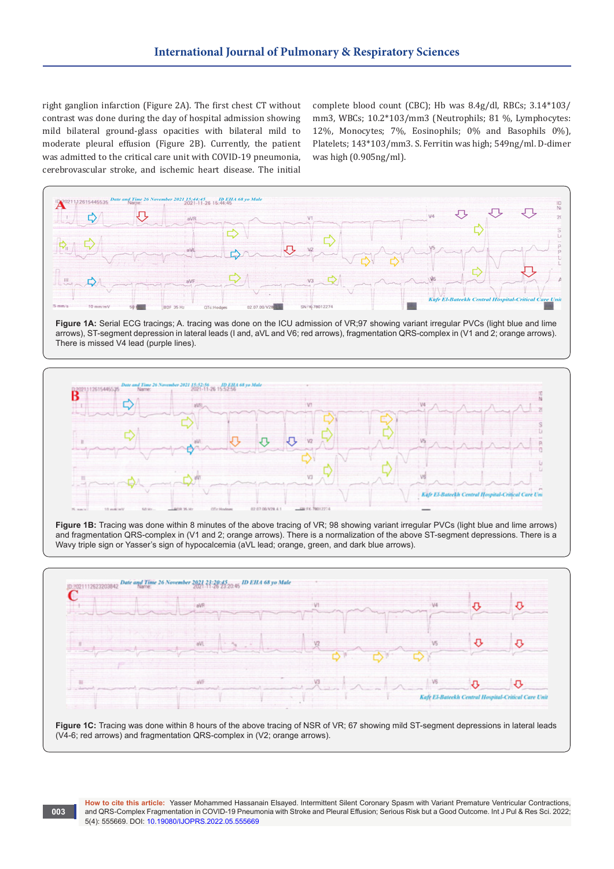right ganglion infarction (Figure 2A). The first chest CT without contrast was done during the day of hospital admission showing mild bilateral ground-glass opacities with bilateral mild to moderate pleural effusion (Figure 2B). Currently, the patient was admitted to the critical care unit with COVID-19 pneumonia, cerebrovascular stroke, and ischemic heart disease. The initial

complete blood count (CBC); Hb was 8.4g/dl, RBCs; 3.14\*103/ mm3, WBCs; 10.2\*103/mm3 (Neutrophils; 81 %, Lymphocytes: 12%, Monocytes; 7%, Eosinophils; 0% and Basophils 0%), Platelets; 143\*103/mm3. S. Ferritin was high; 549ng/ml. D-dimer was high (0.905ng/ml).



**Figure 1A:** Serial ECG tracings; A. tracing was done on the ICU admission of VR;97 showing variant irregular PVCs (light blue and lime arrows), ST-segment depression in lateral leads (I and, aVL and V6; red arrows), fragmentation QRS-complex in (V1 and 2; orange arrows). There is missed V4 lead (purple lines).



**Figure 1B:** Tracing was done within 8 minutes of the above tracing of VR; 98 showing variant irregular PVCs (light blue and lime arrows) and fragmentation QRS-complex in (V1 and 2; orange arrows). There is a normalization of the above ST-segment depressions. There is a Wavy triple sign or Yasser's sign of hypocalcemia (aVL lead; orange, green, and dark blue arrows).



**Figure 1C:** Tracing was done within 8 hours of the above tracing of NSR of VR; 67 showing mild ST-segment depressions in lateral leads (V4-6; red arrows) and fragmentation QRS-complex in (V2; orange arrows).

**003**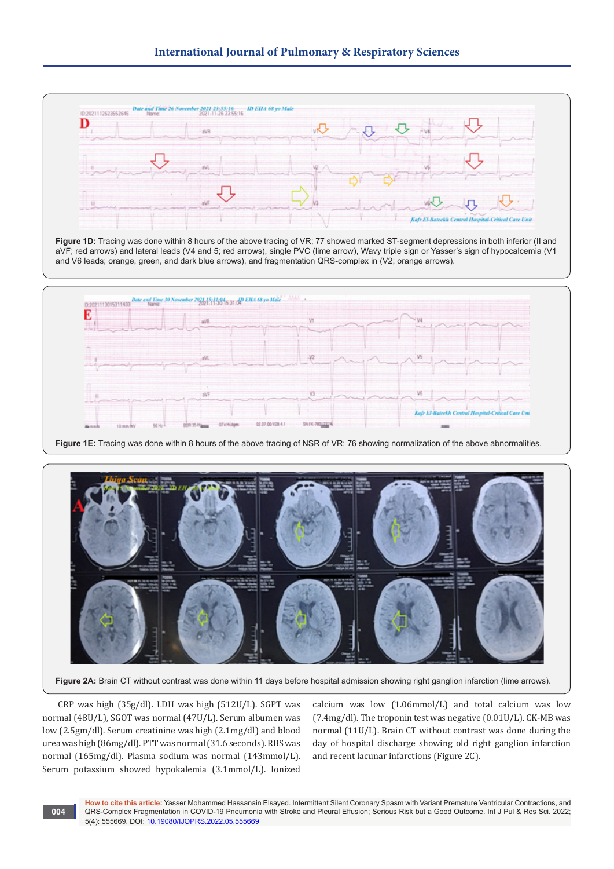



Figure 2A: Brain CT without contrast was done within 11 days before hospital admission showing right ganglion infarction (lime arrows).

CRP was high (35g/dl). LDH was high (512U/L). SGPT was normal (48U/L), SGOT was normal (47U/L). Serum albumen was low (2.5gm/dl). Serum creatinine was high (2.1mg/dl) and blood urea was high (86mg/dl). PTT was normal (31.6 seconds). RBS was normal (165mg/dl). Plasma sodium was normal (143mmol/L). Serum potassium showed hypokalemia (3.1mmol/L). Ionized

calcium was low (1.06mmol/L) and total calcium was low (7.4mg/dl). The troponin test was negative (0.01U/L). CK-MB was normal (11U/L). Brain CT without contrast was done during the day of hospital discharge showing old right ganglion infarction and recent lacunar infarctions (Figure 2C).

**How to cite this article:** Yasser Mohammed Hassanain Elsayed. Intermittent Silent Coronary Spasm with Variant Premature Ventricular Contractions, and QRS-Complex Fragmentation in COVID-19 Pneumonia with Stroke and Pleural Effusion; Serious Risk but a Good Outcome. Int J Pul & Res Sci. 2022; 5(4): 555669. DOI: [10.19080/IJOPRS.2022.05.55566](http://dx.doi.org/10.19080/IJOPRS.2022.05.555669)9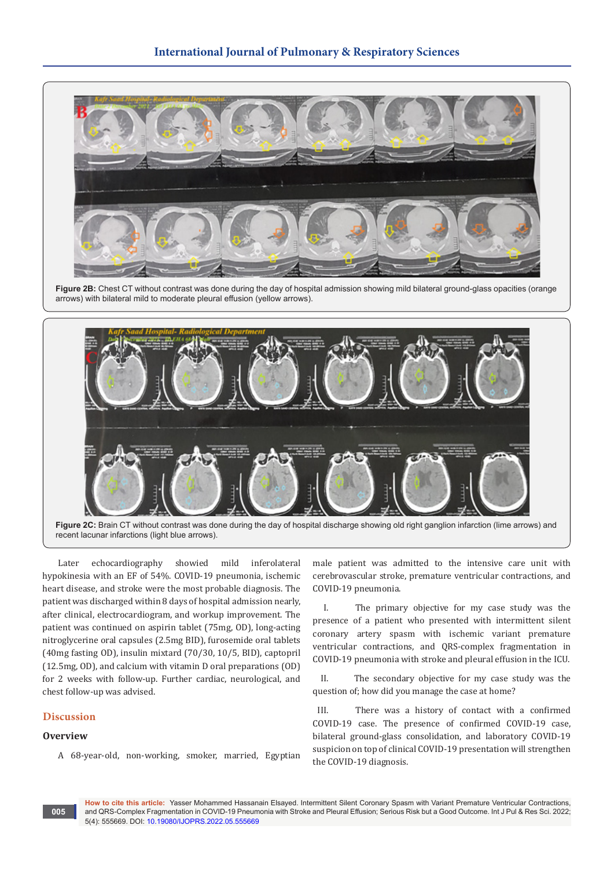

**Figure 2B:** Chest CT without contrast was done during the day of hospital admission showing mild bilateral ground-glass opacities (orange arrows) with bilateral mild to moderate pleural effusion (yellow arrows).



**Figure 2C:** Brain CT without contrast was done during the day of hospital discharge showing old right ganglion infarction (lime arrows) and recent lacunar infarctions (light blue arrows).

Later echocardiography showied mild inferolateral hypokinesia with an EF of 54%. COVID-19 pneumonia, ischemic heart disease, and stroke were the most probable diagnosis. The patient was discharged within 8 days of hospital admission nearly, after clinical, electrocardiogram, and workup improvement. The patient was continued on aspirin tablet (75mg, OD), long-acting nitroglycerine oral capsules (2.5mg BID), furosemide oral tablets (40mg fasting OD), insulin mixtard (70/30, 10/5, BID), captopril (12.5mg, OD), and calcium with vitamin D oral preparations (OD) for 2 weeks with follow-up. Further cardiac, neurological, and chest follow-up was advised.

# **Discussion**

#### **Overview**

**005**

A 68-year-old, non-working, smoker, married, Egyptian

male patient was admitted to the intensive care unit with cerebrovascular stroke, premature ventricular contractions, and COVID-19 pneumonia.

I. The primary objective for my case study was the presence of a patient who presented with intermittent silent coronary artery spasm with ischemic variant premature ventricular contractions, and QRS-complex fragmentation in COVID-19 pneumonia with stroke and pleural effusion in the ICU.

II. The secondary objective for my case study was the question of; how did you manage the case at home?

III. There was a history of contact with a confirmed COVID-19 case. The presence of confirmed COVID-19 case, bilateral ground-glass consolidation, and laboratory COVID-19 suspicion on top of clinical COVID-19 presentation will strengthen the COVID-19 diagnosis.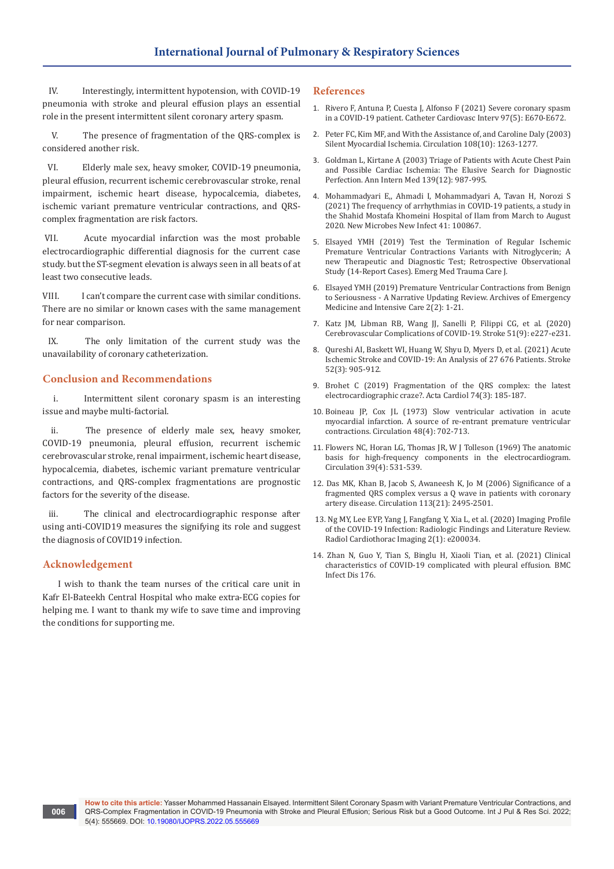IV. Interestingly, intermittent hypotension, with COVID-19 pneumonia with stroke and pleural effusion plays an essential role in the present intermittent silent coronary artery spasm.

V. The presence of fragmentation of the QRS-complex is considered another risk.

VI. Elderly male sex, heavy smoker, COVID-19 pneumonia, pleural effusion, recurrent ischemic cerebrovascular stroke, renal impairment, ischemic heart disease, hypocalcemia, diabetes, ischemic variant premature ventricular contractions, and QRScomplex fragmentation are risk factors.

VII. Acute myocardial infarction was the most probable electrocardiographic differential diagnosis for the current case study. but the ST-segment elevation is always seen in all beats of at least two consecutive leads.

VIII. I can't compare the current case with similar conditions. There are no similar or known cases with the same management for near comparison.

IX. The only limitation of the current study was the unavailability of coronary catheterization.

## **Conclusion and Recommendations**

i. Intermittent silent coronary spasm is an interesting issue and maybe multi-factorial.

ii. The presence of elderly male sex, heavy smoker, COVID-19 pneumonia, pleural effusion, recurrent ischemic cerebrovascular stroke, renal impairment, ischemic heart disease, hypocalcemia, diabetes, ischemic variant premature ventricular contractions, and QRS-complex fragmentations are prognostic factors for the severity of the disease.

iii. The clinical and electrocardiographic response after using anti-COVID19 measures the signifying its role and suggest the diagnosis of COVID19 infection.

# **Acknowledgement**

I wish to thank the team nurses of the critical care unit in Kafr El-Bateekh Central Hospital who make extra-ECG copies for helping me. I want to thank my wife to save time and improving the conditions for supporting me.

#### **References**

- 1. [Rivero F, Antuna P, Cuesta J, Alfonso F \(2021\) Severe coronary spasm](https://pubmed.ncbi.nlm.nih.gov/32738164/)  [in a COVID-19 patient. Catheter Cardiovasc Interv 97\(5\): E670-E672.](https://pubmed.ncbi.nlm.nih.gov/32738164/)
- 2. [Peter FC, Kim MF, and With the Assistance of, and Caroline Daly \(2003\)](https://www.ahajournals.org/doi/10.1161/01.CIR.0000088001.59265.EE)  [Silent Myocardial Ischemia. Circulation 108\(10\): 1263-1277.](https://www.ahajournals.org/doi/10.1161/01.CIR.0000088001.59265.EE)
- 3. [Goldman L, Kirtane A \(2003\) Triage of Patients with Acute Chest Pain](https://pubmed.ncbi.nlm.nih.gov/14678918/)  [and Possible Cardiac Ischemia: The Elusive Search for Diagnostic](https://pubmed.ncbi.nlm.nih.gov/14678918/)  [Perfection. Ann Intern Med 139\(12\): 987-995.](https://pubmed.ncbi.nlm.nih.gov/14678918/)
- 4. [Mohammadyari E,, Ahmadi I, Mohammadyari A, Tavan H, Norozi S](https://pubmed.ncbi.nlm.nih.gov/33758669/)  [\(2021\) The frequency of arrhythmias in COVID-19 patients, a study in](https://pubmed.ncbi.nlm.nih.gov/33758669/)  [the Shahid Mostafa Khomeini Hospital of Ilam from March to August](https://pubmed.ncbi.nlm.nih.gov/33758669/)  [2020. New Microbes New Infect 41: 100867.](https://pubmed.ncbi.nlm.nih.gov/33758669/)
- 5. [Elsayed YMH \(2019\) Test the Termination of Regular Ischemic](https://grfpublishers.com/article/view/MTA4/Test-the-Termination-of-Regular-Ischemic-Premature-Ventricular-Contraction-Variants-with-Nitro-glycerine-A-new-Therapeutic-and-Diagnostic-Test-Retrospective-Observational-Study-14-Report-Cases)  [Premature Ventricular Contractions Variants with Nitroglycerin; A](https://grfpublishers.com/article/view/MTA4/Test-the-Termination-of-Regular-Ischemic-Premature-Ventricular-Contraction-Variants-with-Nitro-glycerine-A-new-Therapeutic-and-Diagnostic-Test-Retrospective-Observational-Study-14-Report-Cases)  [new Therapeutic and Diagnostic Test; Retrospective Observational](https://grfpublishers.com/article/view/MTA4/Test-the-Termination-of-Regular-Ischemic-Premature-Ventricular-Contraction-Variants-with-Nitro-glycerine-A-new-Therapeutic-and-Diagnostic-Test-Retrospective-Observational-Study-14-Report-Cases)  [Study \(14-Report Cases\). Emerg Med Trauma Care J.](https://grfpublishers.com/article/view/MTA4/Test-the-Termination-of-Regular-Ischemic-Premature-Ventricular-Contraction-Variants-with-Nitro-glycerine-A-new-Therapeutic-and-Diagnostic-Test-Retrospective-Observational-Study-14-Report-Cases)
- 6. Elsayed YMH (2019) Premature Ventricular Contractions from Benign to Seriousness - A Narrative Updating Review. Archives of Emergency Medicine and Intensive Care 2(2): 1-21.
- 7. [Katz JM, Libman RB, Wang JJ, Sanelli P, Filippi CG, et al. \(2020\)](https://pubmed.ncbi.nlm.nih.gov/32757751/)  [Cerebrovascular Complications of COVID-19. Stroke 51\(9\): e227-e231.](https://pubmed.ncbi.nlm.nih.gov/32757751/)
- 8. [Qureshi AI, Baskett WI, Huang W, Shyu D, Myers D, et al. \(2021\) Acute](https://pubmed.ncbi.nlm.nih.gov/33535779/)  [Ischemic Stroke and COVID-19: An Analysis of 27 676 Patients. Stroke](https://pubmed.ncbi.nlm.nih.gov/33535779/)  [52\(3\): 905-912.](https://pubmed.ncbi.nlm.nih.gov/33535779/)
- 9. [Brohet C \(2019\) Fragmentation of the QRS complex: the latest](https://pubmed.ncbi.nlm.nih.gov/30950722/)  [electrocardiographic craze?. Acta Cardiol 74\(3\): 185-187.](https://pubmed.ncbi.nlm.nih.gov/30950722/)
- 10. [Boineau JP, Cox JL \(1973\) Slow ventricular activation in acute](https://pubmed.ncbi.nlm.nih.gov/4126756/)  [myocardial infarction. A source of re-entrant premature ventricular](https://pubmed.ncbi.nlm.nih.gov/4126756/)  [contractions. Circulation 48\(4\): 702-713.](https://pubmed.ncbi.nlm.nih.gov/4126756/)
- 11. [Flowers NC, Horan LG, Thomas JR, W J Tolleson \(1969\) The anatomic](https://pubmed.ncbi.nlm.nih.gov/5778254/)  [basis for high-frequency components in the electrocardiogram.](https://pubmed.ncbi.nlm.nih.gov/5778254/)  [Circulation 39\(4\): 531-539.](https://pubmed.ncbi.nlm.nih.gov/5778254/)
- 12. [Das MK, Khan B, Jacob S, Awaneesh K, Jo M \(2006\) Significance of a](https://pubmed.ncbi.nlm.nih.gov/16717150/)  [fragmented QRS complex versus a Q wave in patients with coronary](https://pubmed.ncbi.nlm.nih.gov/16717150/)  [artery disease. Circulation 113\(21\): 2495-2501.](https://pubmed.ncbi.nlm.nih.gov/16717150/)
- 13. [Ng MY, Lee EYP, Yang J, Fangfang Y, Xia L, et al. \(2020\) Imaging Profile](https://pubmed.ncbi.nlm.nih.gov/33778547/)  [of the COVID-19 Infection: Radiologic Findings and Literature Review.](https://pubmed.ncbi.nlm.nih.gov/33778547/)  [Radiol Cardiothorac Imaging 2\(1\): e200034.](https://pubmed.ncbi.nlm.nih.gov/33778547/)
- 14. [Zhan N, Guo Y, Tian S, Binglu H, Xiaoli Tian, et al. \(2021\) Clinical](https://bmcinfectdis.biomedcentral.com/articles/10.1186/s12879-021-05856-8)  [characteristics of COVID-19 complicated with pleural effusion. BMC](https://bmcinfectdis.biomedcentral.com/articles/10.1186/s12879-021-05856-8)  [Infect Dis 176.](https://bmcinfectdis.biomedcentral.com/articles/10.1186/s12879-021-05856-8)